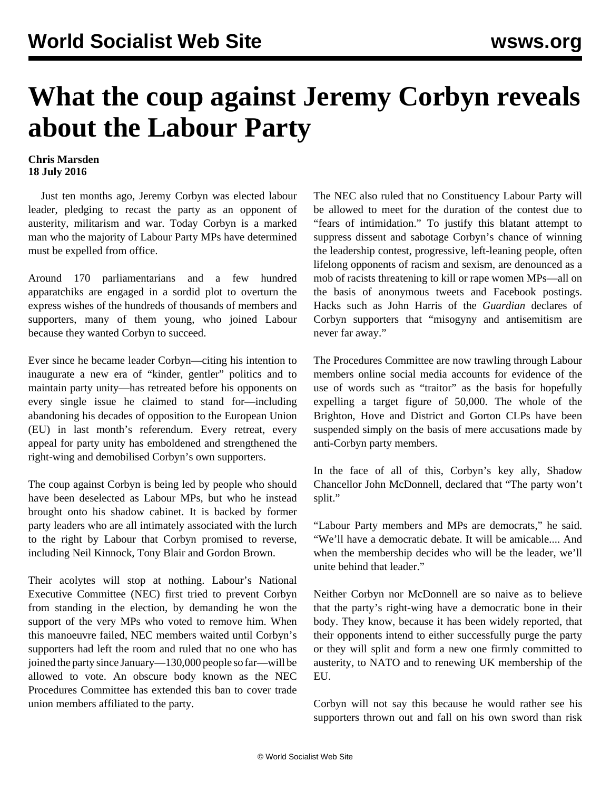## **What the coup against Jeremy Corbyn reveals about the Labour Party**

## **Chris Marsden 18 July 2016**

 Just ten months ago, Jeremy Corbyn was elected labour leader, pledging to recast the party as an opponent of austerity, militarism and war. Today Corbyn is a marked man who the majority of Labour Party MPs have determined must be expelled from office.

Around 170 parliamentarians and a few hundred apparatchiks are engaged in a sordid plot to overturn the express wishes of the hundreds of thousands of members and supporters, many of them young, who joined Labour because they wanted Corbyn to succeed.

Ever since he became leader Corbyn—citing his intention to inaugurate a new era of "kinder, gentler" politics and to maintain party unity—has retreated before his opponents on every single issue he claimed to stand for—including abandoning his decades of opposition to the European Union (EU) in last month's referendum. Every retreat, every appeal for party unity has emboldened and strengthened the right-wing and demobilised Corbyn's own supporters.

The coup against Corbyn is being led by people who should have been deselected as Labour MPs, but who he instead brought onto his shadow cabinet. It is backed by former party leaders who are all intimately associated with the lurch to the right by Labour that Corbyn promised to reverse, including Neil Kinnock, Tony Blair and Gordon Brown.

Their acolytes will stop at nothing. Labour's National Executive Committee (NEC) first tried to prevent Corbyn from standing in the election, by demanding he won the support of the very MPs who voted to remove him. When this manoeuvre failed, NEC members waited until Corbyn's supporters had left the room and ruled that no one who has joined the party since January—130,000 people so far—will be allowed to vote. An obscure body known as the NEC Procedures Committee has extended this ban to cover trade union members affiliated to the party.

The NEC also ruled that no Constituency Labour Party will be allowed to meet for the duration of the contest due to "fears of intimidation." To justify this blatant attempt to suppress dissent and sabotage Corbyn's chance of winning the leadership contest, progressive, left-leaning people, often lifelong opponents of racism and sexism, are denounced as a mob of racists threatening to kill or rape women MPs—all on the basis of anonymous tweets and Facebook postings. Hacks such as John Harris of the *Guardian* declares of Corbyn supporters that "misogyny and antisemitism are never far away."

The Procedures Committee are now trawling through Labour members online social media accounts for evidence of the use of words such as "traitor" as the basis for hopefully expelling a target figure of 50,000. The whole of the Brighton, Hove and District and Gorton CLPs have been suspended simply on the basis of mere accusations made by anti-Corbyn party members.

In the face of all of this, Corbyn's key ally, Shadow Chancellor John McDonnell, declared that "The party won't split."

"Labour Party members and MPs are democrats," he said. "We'll have a democratic debate. It will be amicable.... And when the membership decides who will be the leader, we'll unite behind that leader."

Neither Corbyn nor McDonnell are so naive as to believe that the party's right-wing have a democratic bone in their body. They know, because it has been widely reported, that their opponents intend to either successfully purge the party or they will split and form a new one firmly committed to austerity, to NATO and to renewing UK membership of the EU.

Corbyn will not say this because he would rather see his supporters thrown out and fall on his own sword than risk